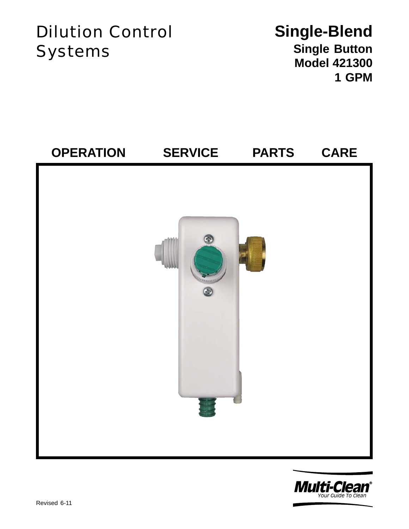# Dilution Control Systems

## **Single-Blend Single Button Model 421300 1 GPM**



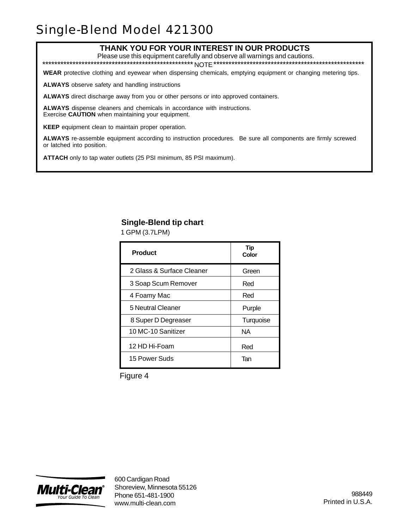### Single-Blend Model 421300

#### **THANK YOU FOR YOUR INTEREST IN OUR PRODUCTS**

Please use this equipment carefully and observe all warnings and cautions.

\*\*\*\*\*\*\*\*\*\*\*\*\*\*\*\*\*\*\*\*\*\*\*\*\*\*\*\*\*\*\*\*\*\*\*\*\*\*\*\*\*\*\*\*\*\*\*\*\*\* NOTE \*\*\*\*\*\*\*\*\*\*\*\*\*\*\*\*\*\*\*\*\*\*\*\*\*\*\*\*\*\*\*\*\*\*\*\*\*\*\*\*\*\*\*\*\*\*\*\*\*\*

**WEAR** protective clothing and eyewear when dispensing chemicals, emptying equipment or changing metering tips.

**ALWAYS** observe safety and handling instructions

**ALWAYS** direct discharge away from you or other persons or into approved containers.

**ALWAYS** dispense cleaners and chemicals in accordance with instructions. Exercise **CAUTION** when maintaining your equipment.

**KEEP** equipment clean to maintain proper operation.

**ALWAYS** re-assemble equipment according to instruction procedures. Be sure all components are firmly screwed or latched into position.

**ATTACH** only to tap water outlets (25 PSI minimum, 85 PSI maximum).

#### **Single-Blend tip chart**

1 GPM (3.7LPM)

| <b>Product</b>            | Tip<br>Color |
|---------------------------|--------------|
| 2 Glass & Surface Cleaner | Green        |
| 3 Soap Scum Remover       | Red          |
| 4 Foamy Mac               | Red          |
| 5 Neutral Cleaner         | Purple       |
| 8 Super D Degreaser       | Turquoise    |
| 10 MC-10 Sanitizer        | NA.          |
| 12 HD Hi-Foam             | Red          |
| 15 Power Suds             | Tan          |

Figure 4

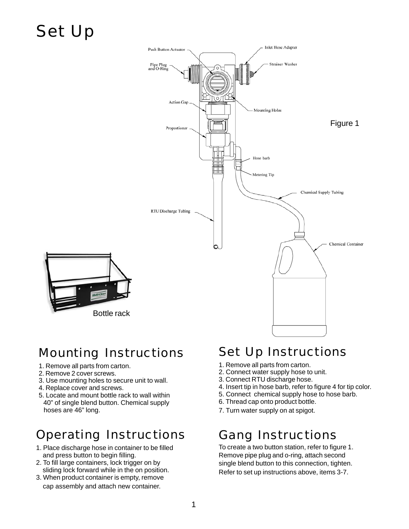# Set Up



### Mounting Instructions

- 1. Remove all parts from carton.
- 2. Remove 2 cover screws.
- 3. Use mounting holes to secure unit to wall.
- 4. Replace cover and screws.
- 5. Locate and mount bottle rack to wall within 40" of single blend button. Chemical supply hoses are 46" long.

### Operating Instructions

- 1. Place discharge hose in container to be filled and press button to begin filling.
- 2. To fill large containers, lock trigger on by sliding lock forward while in the on position.
- 3. When product container is empty, remove cap assembly and attach new container.

## Set Up Instructions

- 1. Remove all parts from carton.
- 2. Connect water supply hose to unit.
- 3. Connect RTU discharge hose.
- 4. Insert tip in hose barb, refer to figure 4 for tip color.
- 5. Connect chemical supply hose to hose barb.
- 6. Thread cap onto product bottle.
- 7. Turn water supply on at spigot.

### Gang Instructions

To create a two button station, refer to figure 1. Remove pipe plug and o-ring, attach second single blend button to this connection, tighten. Refer to set up instructions above, items 3-7.